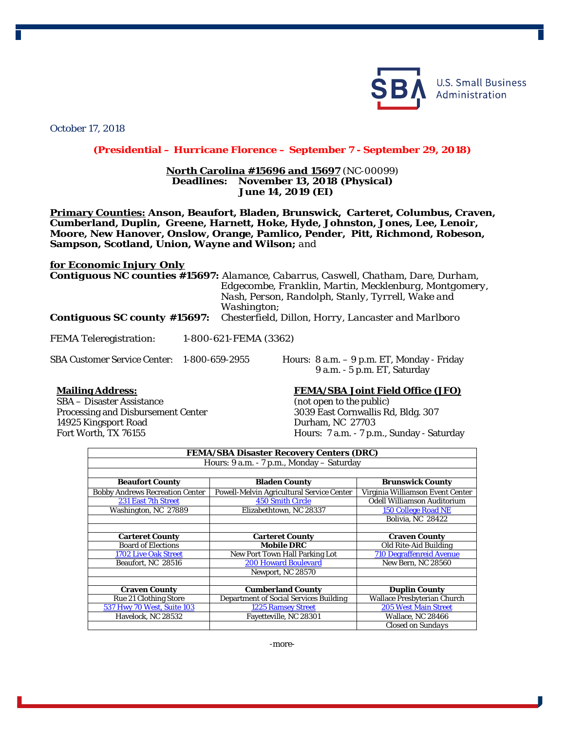

**U.S. Small Business** Administration

October 17, 2018

## **(Presidential – Hurricane Florence – September 7 - September 29, 2018)**

## **North Carolina #15696 and 15697** (NC-00099) **Deadlines: November 13, 2018 (Physical) June 14, 2019 (EI)**

**Primary Counties: Anson, Beaufort, Bladen, Brunswick, Carteret, Columbus, Craven, Cumberland, Duplin, Greene, Harnett, Hoke, Hyde, Johnston, Jones, Lee, Lenoir, Moore, New Hanover, Onslow, Orange, Pamlico, Pender, Pitt, Richmond, Robeson, Sampson, Scotland, Union, Wayne and Wilson;** *and*

## *for Economic Injury Only*

*Contiguous NC counties #15697: Alamance, Cabarrus, Caswell, Chatham, Dare, Durham, Edgecombe, Franklin, Martin, Mecklenburg, Montgomery, Nash, Person, Randolph, Stanly, Tyrrell, Wake and Washington;*

*Contiguous SC county #15697: Chesterfield, Dillon, Horry, Lancaster and Marlboro*

FEMA Teleregistration: 1-800-621-FEMA (3362)

SBA Customer Service Center: 1-800-659-2955 Hours: 8 a.m. – 9 p.m. ET, Monday - Friday 9 a.m. - 5 p.m. ET, Saturday

## **Mailing Address: FEMA/SBA Joint Field Office (JFO)**

14925 Kingsport Road<br>Fort Worth, TX 76155

SBA – Disaster Assistance *(not open to the public)* Processing and Disbursement Center 3039 East Cornwallis Rd, Bldg. 307<br>14925 Kingsport Road Durham, NC 27703 Hours: 7 a.m. - 7 p.m., Sunday - Saturday

| <b>FEMA/SBA Disaster Recovery Centers (DRC)</b> |                                               |                                    |  |  |
|-------------------------------------------------|-----------------------------------------------|------------------------------------|--|--|
| Hours: 9 a.m. - 7 p.m., Monday – Saturday       |                                               |                                    |  |  |
|                                                 |                                               |                                    |  |  |
| <b>Beaufort County</b>                          | <b>Bladen County</b>                          | <b>Brunswick County</b>            |  |  |
| <b>Bobby Andrews Recreation Center</b>          | Powell-Melvin Agricultural Service Center     | Virginia Williamson Event Center   |  |  |
| 231 East 7th Street                             | <b>450 Smith Circle</b>                       | <b>Odell Williamson Auditorium</b> |  |  |
| Washington, NC 27889                            | Elizabethtown, NC 28337                       | <b>150 College Road NE</b>         |  |  |
|                                                 |                                               | Bolivia, NC 28422                  |  |  |
|                                                 |                                               |                                    |  |  |
| <b>Carteret County</b>                          | <b>Carteret County</b>                        | <b>Craven County</b>               |  |  |
| <b>Board of Elections</b>                       | <b>Mobile DRC</b>                             | Old Rite-Aid Building              |  |  |
| 1702 Live Oak Street                            | New Port Town Hall Parking Lot                | <b>710 Degraffenreid Avenue</b>    |  |  |
| Beaufort, NC 28516                              | <b>200 Howard Boulevard</b>                   | New Bern, NC 28560                 |  |  |
|                                                 | Newport, NC 28570                             |                                    |  |  |
|                                                 |                                               |                                    |  |  |
| <b>Craven County</b>                            | <b>Cumberland County</b>                      | <b>Duplin County</b>               |  |  |
| <b>Rue 21 Clothing Store</b>                    | <b>Department of Social Services Building</b> | <b>Wallace Presbyterian Church</b> |  |  |
| 537 Hwy 70 West, Suite 103                      | <b>1225 Ramsey Street</b>                     | <b>205 West Main Street</b>        |  |  |
| Havelock. NC 28532                              | Fayetteville, NC 28301                        | Wallace, NC 28466                  |  |  |
|                                                 |                                               | <b>Closed on Sundays</b>           |  |  |

-more-